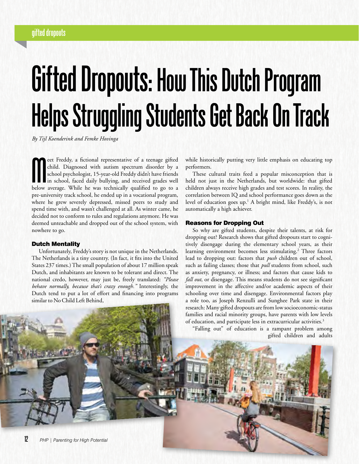### **gifted dropouts**

# **Gifted Dropouts: How This Dutch Program Helps Struggling Students Get Back On Track**

*By Tijl Koenderink and Femke Hovinga*

**M** eet Freddy, a fictional representative of a teenage gifted child. Diagnosed with autism spectrum disorder by a school psychologist, 15-year-old Freddy didn't have friends in school, faced daily bullying, and received g eet Freddy, a fictional representative of a teenage gifted child. Diagnosed with autism spectrum disorder by a school psychologist, 15-year-old Freddy didn't have friends in school, faced daily bullying, and received grades well pre-university track school, he ended up in a vocational program, where he grew severely depressed, missed peers to study and spend time with, and wasn't challenged at all. As winter came, he decided not to conform to rules and regulations anymore. He was deemed unteachable and dropped out of the school system, with nowhere to go.

#### Dutch Mentality

Unfortunately, Freddy's story is not unique in the Netherlands. The Netherlands is a tiny country. (In fact, it fits into the United States 237 times.) The small population of about 17 million speak Dutch, and inhabitants are known to be tolerant and direct. The national credo, however, may just be, freely translated: *"Please behave normally, because that's crazy enough."* Interestingly, the Dutch tend to put a lot of effort and financing into programs similar to No Child Left Behind,

while historically putting very little emphasis on educating top performers.

These cultural traits feed a popular misconception that is held not just in the Netherlands, but worldwide: that gifted children always receive high grades and test scores. In reality, the correlation between IQ and school performance goes down as the level of education goes up.1 A bright mind, like Freddy's, is not automatically a high achiever.

#### Reasons for Dropping Out

So why are gifted students, despite their talents, at risk for dropping out? Research shows that gifted dropouts start to cognitively disengage during the elementary school years, as their learning environment becomes less stimulating.<sup>2</sup> Three factors lead to dropping out: factors that *push* children out of school, such as failing classes; those that *pull* students from school, such as anxiety, pregnancy, or illness; and factors that cause kids to *fall out*, or disengage. This means students do not see significant improvement in the affective and/or academic aspects of their schooling over time and disengage. Environmental factors play a role too, as Joseph Renzulli and Sunghee Park state in their research: Many gifted dropouts are from low socioeconomic-status families and racial minority groups, have parents with low levels of education, and participate less in extracurricular activities.<sup>3</sup>

"Falling out" of education is a rampant problem among gifted children and adults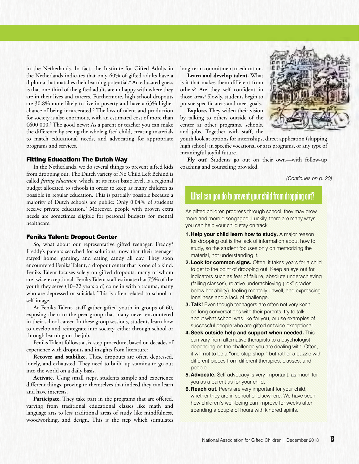in the Netherlands. In fact, the Institute for Gifted Adults in the Netherlands indicates that only 60% of gifted adults have a diploma that matches their learning potential.<sup>4</sup> An educated guess is that one-third of the gifted adults are unhappy with where they are in their lives and careers. Furthermore, high school dropouts are 30.8% more likely to live in poverty and have a 63% higher chance of being incarcerated.5 The loss of talent and production for society is also enormous, with an estimated cost of more than €600,000.6 The good news: As a parent or teacher you can make the difference by seeing the whole gifted child, creating materials to match educational needs, and advocating for appropriate programs and services.

#### Fitting Education: The Dutch Way

In the Netherlands, we do several things to prevent gifted kids from dropping out. The Dutch variety of No Child Left Behind is called *fitting education,* which, at its most basic level, is a regional budget allocated to schools in order to keep as many children as possible in regular education. This is partially possible because a majority of Dutch schools are public: Only 0.04% of students receive private education.<sup>7</sup> Moreover, people with proven extra needs are sometimes eligible for personal budgets for mental healthcare.

#### Feniks Talent: Dropout Center

So, what about our representative gifted teenager, Freddy? Freddy's parents searched for solutions, now that their teenager stayed home, gaming, and eating candy all day. They soon encountered Feniks Talent, a dropout center that is one of a kind. Feniks Talent focuses solely on gifted dropouts, many of whom are twice-exceptional. Feniks Talent staff estimate that 75% of the youth they serve (10–22 years old) come in with a trauma, many who are depressed or suicidal. This is often related to school or self-image.

At Feniks Talent, staff gather gifted youth in groups of 60, exposing them to the peer group that many never encountered in their school career. In these group sessions, students learn how to develop and reintegrate into society, either through school or through learning on the job.

Feniks Talent follows a six-step procedure, based on decades of experience with dropouts and insights from literature:

**Recover and stabilize.** These dropouts are often depressed, lonely, and exhausted. They need to build up stamina to go out into the world on a daily basis.

**Activate.** Using small steps, students sample and experience different things, proving to themselves that indeed they can learn and have interests.

**Participate.** They take part in the programs that are offered, varying from traditional educational classes like math and language arts to less traditional areas of study like mindfulness, woodworking, and design. This is the step which stimulates long-term commitment to education.

**Learn and develop talent.** What is it that makes them different from others? Are they self confident in those areas? Slowly, students begin to pursue specific areas and meet goals.

**Explore.** They widen their vision by talking to others outside of the center at other programs, schools, and jobs. Together with staff, the



youth look at options for internships, direct application (skipping high school) in specific vocational or arts programs, or any type of meaningful joyful future.

**Fly out!** Students go out on their own—with follow-up coaching and counseling provided.

*(Continues on p. 20)*

## **What can you do to prevent your child from dropping out?**

As gifted children progress through school, they may grow more and more disengaged. Luckily, there are many ways you can help your child stay on track.

- **1. Help your child learn how to study.** A major reason for dropping out is the lack of information about how to study, so the student focuses only on memorizing the material, not understanding it.
- **2. Look for common signs.** Often, it takes years for a child to get to the point of dropping out. Keep an eye out for indicators such as fear of failure, absolute underachieving (failing classes), relative underachieving ("ok" grades below her ability), feeling mentally unwell, and expressing loneliness and a lack of challenge.
- **3. Talk!** Even though teenagers are often not very keen on long conversations with their parents, try to talk about what school was like for you, or use examples of successful people who are gifted or twice-exceptional.
- **4. Seek outside help and support when needed.** This can vary from alternative therapists to a psychologist, depending on the challenge you are dealing with. Often, it will not to be a "one-stop shop," but rather a puzzle with different pieces from different therapies, classes, and people.
- **5. Advocate.** Self-advocacy is very important, as much for you as a parent as for your child.
- **6. Reach out.** Peers are very important for your child, whether they are in school or elsewhere. We have seen how children's well-being can improve for weeks after spending a couple of hours with kindred spirits.